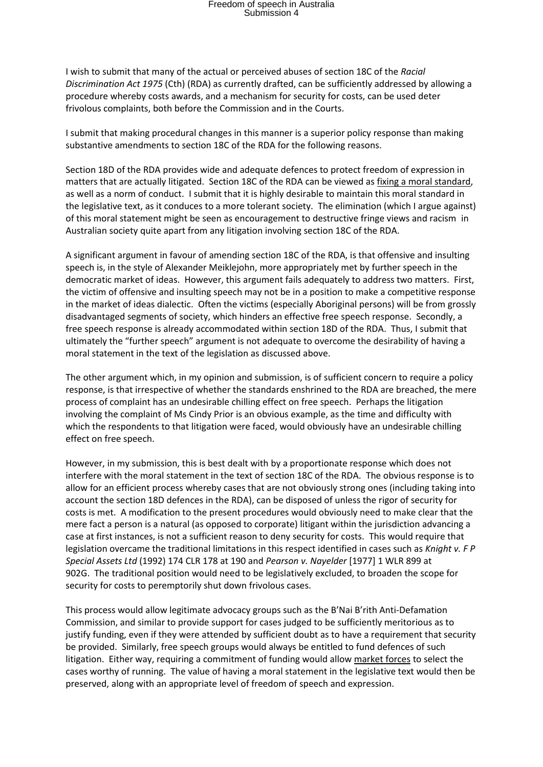## Freedom of speech in Australia Submission 4

I wish to submit that many of the actual or perceived abuses of section 18C of the *Racial Discrimination Act 1975* (Cth) (RDA) as currently drafted, can be sufficiently addressed by allowing a procedure whereby costs awards, and a mechanism for security for costs, can be used deter frivolous complaints, both before the Commission and in the Courts.

I submit that making procedural changes in this manner is a superior policy response than making substantive amendments to section 18C of the RDA for the following reasons.

Section 18D of the RDA provides wide and adequate defences to protect freedom of expression in matters that are actually litigated. Section 18C of the RDA can be viewed as fixing a moral standard, as well as a norm of conduct. I submit that it is highly desirable to maintain this moral standard in the legislative text, as it conduces to a more tolerant society. The elimination (which I argue against) of this moral statement might be seen as encouragement to destructive fringe views and racism in Australian society quite apart from any litigation involving section 18C of the RDA.

A significant argument in favour of amending section 18C of the RDA, is that offensive and insulting speech is, in the style of Alexander Meiklejohn, more appropriately met by further speech in the democratic market of ideas. However, this argument fails adequately to address two matters. First, the victim of offensive and insulting speech may not be in a position to make a competitive response in the market of ideas dialectic. Often the victims (especially Aboriginal persons) will be from grossly disadvantaged segments of society, which hinders an effective free speech response. Secondly, a free speech response is already accommodated within section 18D of the RDA. Thus, I submit that ultimately the "further speech" argument is not adequate to overcome the desirability of having a moral statement in the text of the legislation as discussed above.

The other argument which, in my opinion and submission, is of sufficient concern to require a policy response, is that irrespective of whether the standards enshrined to the RDA are breached, the mere process of complaint has an undesirable chilling effect on free speech. Perhaps the litigation involving the complaint of Ms Cindy Prior is an obvious example, as the time and difficulty with which the respondents to that litigation were faced, would obviously have an undesirable chilling effect on free speech.

However, in my submission, this is best dealt with by a proportionate response which does not interfere with the moral statement in the text of section 18C of the RDA. The obvious response is to allow for an efficient process whereby cases that are not obviously strong ones (including taking into account the section 18D defences in the RDA), can be disposed of unless the rigor of security for costs is met. A modification to the present procedures would obviously need to make clear that the mere fact a person is a natural (as opposed to corporate) litigant within the jurisdiction advancing a case at first instances, is not a sufficient reason to deny security for costs. This would require that legislation overcame the traditional limitations in this respect identified in cases such as *Knight v. F P Special Assets Ltd* (1992) 174 CLR 178 at 190 and *Pearson v. Nayelder* [1977] 1 WLR 899 at 902G. The traditional position would need to be legislatively excluded, to broaden the scope for security for costs to peremptorily shut down frivolous cases.

This process would allow legitimate advocacy groups such as the B'Nai B'rith Anti-Defamation Commission, and similar to provide support for cases judged to be sufficiently meritorious as to justify funding, even if they were attended by sufficient doubt as to have a requirement that security be provided. Similarly, free speech groups would always be entitled to fund defences of such litigation. Either way, requiring a commitment of funding would allow market forces to select the cases worthy of running. The value of having a moral statement in the legislative text would then be preserved, along with an appropriate level of freedom of speech and expression.